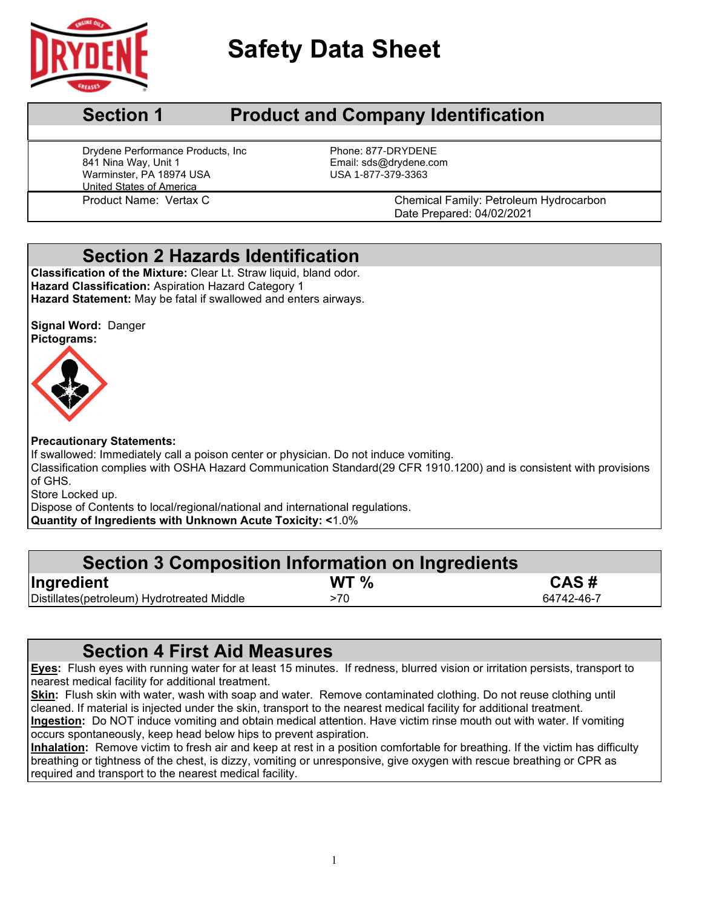

# **Safety Data Sheet**

# **Section 1** Product and Company Identification

Drydene Performance Products, Inc From Phone: 877-DRYDENE<br>841 Nina Way, Unit 1 From Phone: 20 Email: sds@drydene.com Warminster, PA 18974 USA United States of America

Email: sds@drydene.com<br>USA 1-877-379-3363

Product Name: Vertax C Chemical Family: Petroleum Hydrocarbon Date Prepared: 04/02/2021

# **Section 2 Hazards Identification**

**Classification of the Mixture:** Clear Lt. Straw liquid, bland odor. **Hazard Classification:** Aspiration Hazard Category 1 **Hazard Statement:** May be fatal if swallowed and enters airways.

**Signal Word:** Danger **Pictograms:**



## **Precautionary Statements:**

If swallowed: Immediately call a poison center or physician. Do not induce vomiting. Classification complies with OSHA Hazard Communication Standard(29 CFR 1910.1200) and is consistent with provisions of GHS.

Store Locked up.

Dispose of Contents to local/regional/national and international regulations. **Quantity of Ingredients with Unknown Acute Toxicity: <**1.0%

| Section 3 Composition Information on Ingredients |
|--------------------------------------------------|
| CAS#                                             |
| 64742-46-7                                       |
|                                                  |

# **Section 4 First Aid Measures**

**Eyes:** Flush eyes with running water for at least 15 minutes. If redness, blurred vision or irritation persists, transport to nearest medical facility for additional treatment.

**Skin:** Flush skin with water, wash with soap and water. Remove contaminated clothing. Do not reuse clothing until cleaned. If material is injected under the skin, transport to the nearest medical facility for additional treatment. **Ingestion:** Do NOT induce vomiting and obtain medical attention. Have victim rinse mouth out with water. If vomiting occurs spontaneously, keep head below hips to prevent aspiration.

**Inhalation:** Remove victim to fresh air and keep at rest in a position comfortable for breathing. If the victim has difficulty breathing or tightness of the chest, is dizzy, vomiting or unresponsive, give oxygen with rescue breathing or CPR as required and transport to the nearest medical facility.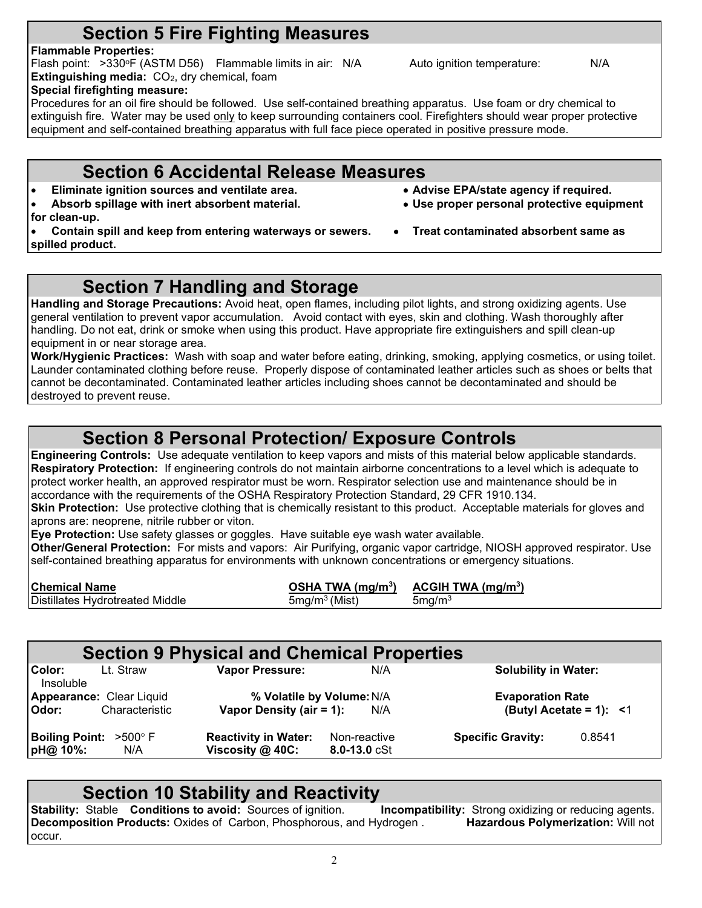# **Section 5 Fire Fighting Measures**

## **Flammable Properties:**

Flash point: >330°F (ASTM D56) Flammable limits in air: N/A Auto ignition temperature: N/A **Extinguishing media:** CO<sub>2</sub>, dry chemical, foam **Special firefighting measure:**

Procedures for an oil fire should be followed. Use self-contained breathing apparatus. Use foam or dry chemical to extinguish fire. Water may be used only to keep surrounding containers cool. Firefighters should wear proper protective equipment and self-contained breathing apparatus with full face piece operated in positive pressure mode.

# **Section 6 Accidental Release Measures**

- **Eliminate ignition sources and ventilate area. Advise EPA/state agency if required.**
- **Absorb spillage with inert absorbent material. Use proper personal protective equipment**
- **for clean-up.**
- **Contain spill and keep from entering waterways or sewers. Treat contaminated absorbent same as spilled product.**

# **Section 7 Handling and Storage**

**Handling and Storage Precautions:** Avoid heat, open flames, including pilot lights, and strong oxidizing agents. Use general ventilation to prevent vapor accumulation. Avoid contact with eyes, skin and clothing. Wash thoroughly after handling. Do not eat, drink or smoke when using this product. Have appropriate fire extinguishers and spill clean-up equipment in or near storage area.

**Work/Hygienic Practices:** Wash with soap and water before eating, drinking, smoking, applying cosmetics, or using toilet. Launder contaminated clothing before reuse. Properly dispose of contaminated leather articles such as shoes or belts that cannot be decontaminated. Contaminated leather articles including shoes cannot be decontaminated and should be destroyed to prevent reuse.

# **Section 8 Personal Protection/ Exposure Controls**

**Engineering Controls:** Use adequate ventilation to keep vapors and mists of this material below applicable standards. **Respiratory Protection:** If engineering controls do not maintain airborne concentrations to a level which is adequate to protect worker health, an approved respirator must be worn. Respirator selection use and maintenance should be in accordance with the requirements of the OSHA Respiratory Protection Standard, 29 CFR 1910.134.

**Skin Protection:** Use protective clothing that is chemically resistant to this product. Acceptable materials for gloves and aprons are: neoprene, nitrile rubber or viton.

**Eye Protection:** Use safety glasses or goggles. Have suitable eye wash water available.

**Other/General Protection:** For mists and vapors: Air Purifying, organic vapor cartridge, NIOSH approved respirator. Use self-contained breathing apparatus for environments with unknown concentrations or emergency situations.

| <b>Chemical Name</b>            | OSHA TWA $(mq/m3)$ | ACGH TWA (mq/m <sup>3</sup> ) |
|---------------------------------|--------------------|-------------------------------|
| Distillates Hydrotreated Middle | $5mg/m3$ (Mist)    | $5 \text{mg/m}^3$             |

|                                              |                                 | <b>Section 9 Physical and Chemical Properties</b> |                                    |                          |                             |  |  |
|----------------------------------------------|---------------------------------|---------------------------------------------------|------------------------------------|--------------------------|-----------------------------|--|--|
| Color:<br>Insoluble                          | Lt. Straw                       | <b>Vapor Pressure:</b><br>N/A                     |                                    |                          | <b>Solubility in Water:</b> |  |  |
|                                              | <b>Appearance: Clear Liquid</b> | % Volatile by Volume: N/A                         |                                    | <b>Evaporation Rate</b>  |                             |  |  |
| Odor:                                        | Characteristic                  | Vapor Density (air = 1):                          | N/A                                |                          | (Butyl Acetate = 1): $<$ 1  |  |  |
| <b>Boiling Point: &gt;500° F</b><br>pH@ 10%: | N/A                             | <b>Reactivity in Water:</b><br>Viscosity @ 40C:   | Non-reactive<br>$8.0 - 13.0$ $cSt$ | <b>Specific Gravity:</b> | 0.8541                      |  |  |
|                                              |                                 |                                                   |                                    |                          |                             |  |  |

**Section 10 Stability and Reactivity**<br>Stable Conditions to avoid: Sources of ignition. Incompatibility: Strong oxidizing or reducing agents. **Stability:** Stable **Conditions to avoid:** Sources of ignition. **Incompatibility:** Strong oxidizing or reducing agents.<br>**Decomposition Products:** Oxides of Carbon, Phosphorous, and Hydrogen . **Hazardous Polymerization:** Wi **Decomposition Products: Oxides of Carbon, Phosphorous, and Hydrogen.** occur.

 $\overline{2}$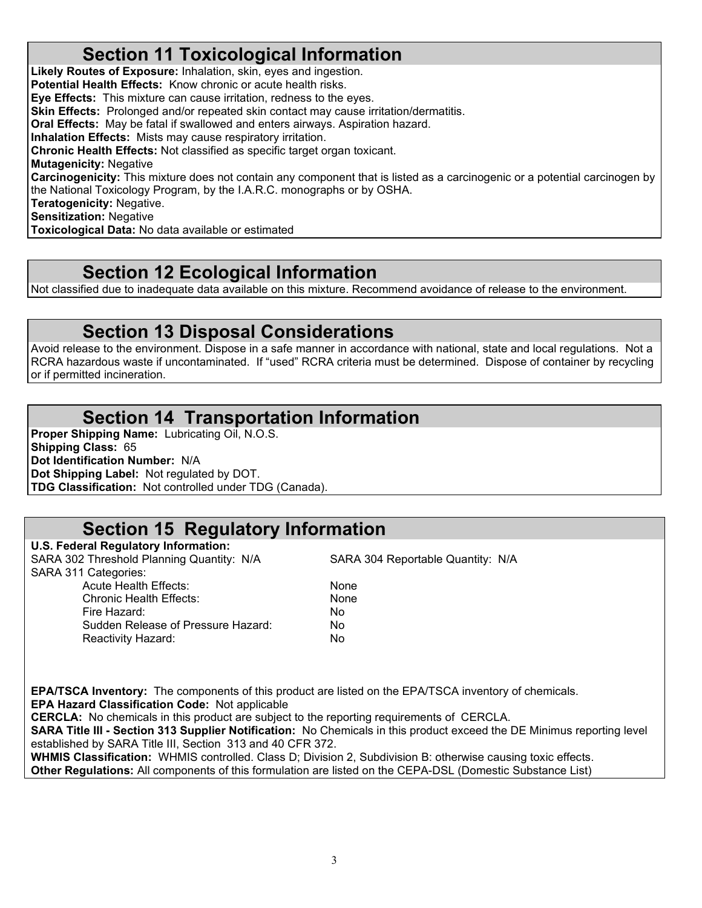# **Section 11 Toxicological Information**

**Likely Routes of Exposure:** Inhalation, skin, eyes and ingestion. **Potential Health Effects:** Know chronic or acute health risks. **Eye Effects:** This mixture can cause irritation, redness to the eyes. **Skin Effects:** Prolonged and/or repeated skin contact may cause irritation/dermatitis. **Oral Effects:** May be fatal if swallowed and enters airways. Aspiration hazard. **Inhalation Effects:** Mists may cause respiratory irritation. **Chronic Health Effects:** Not classified as specific target organ toxicant. **Mutagenicity:** Negative **Carcinogenicity:** This mixture does not contain any component that is listed as a carcinogenic or a potential carcinogen by the National Toxicology Program, by the I.A.R.C. monographs or by OSHA. **Teratogenicity:** Negative. **Sensitization:** Negative **Toxicological Data:** No data available or estimated

## **Section 12 Ecological Information**

Not classified due to inadequate data available on this mixture. Recommend avoidance of release to the environment.

# **Section 13 Disposal Considerations**

Avoid release to the environment. Dispose in a safe manner in accordance with national, state and local regulations. Not a RCRA hazardous waste if uncontaminated. If "used" RCRA criteria must be determined. Dispose of container by recycling or if permitted incineration.

# **Section 14 Transportation Information**

**Proper Shipping Name:** Lubricating Oil, N.O.S. **Shipping Class:** 65 **Dot Identification Number:** N/A **Dot Shipping Label:** Not regulated by DOT. **TDG Classification:** Not controlled under TDG (Canada).

# **Section 15 Regulatory Information**

**U.S. Federal Regulatory Information:** SARA 302 Threshold Planning Quantity: N/A SARA 304 Reportable Quantity: N/A SARA 311 Categories: Acute Health Effects: None Chronic Health Effects: None<br>
Fire Hazard: No Fire Hazard: Sudden Release of Pressure Hazard: No Reactivity Hazard: No

**EPA/TSCA Inventory:** The components of this product are listed on the EPA/TSCA inventory of chemicals. **EPA Hazard Classification Code:** Not applicable

**CERCLA:** No chemicals in this product are subject to the reporting requirements of CERCLA. **SARA Title III - Section 313 Supplier Notification:** No Chemicals in this product exceed the DE Minimus reporting level established by SARA Title III, Section 313 and 40 CFR 372.

**WHMIS Classification:** WHMIS controlled. Class D; Division 2, Subdivision B: otherwise causing toxic effects. **Other Regulations:** All components of this formulation are listed on the CEPA-DSL (Domestic Substance List)